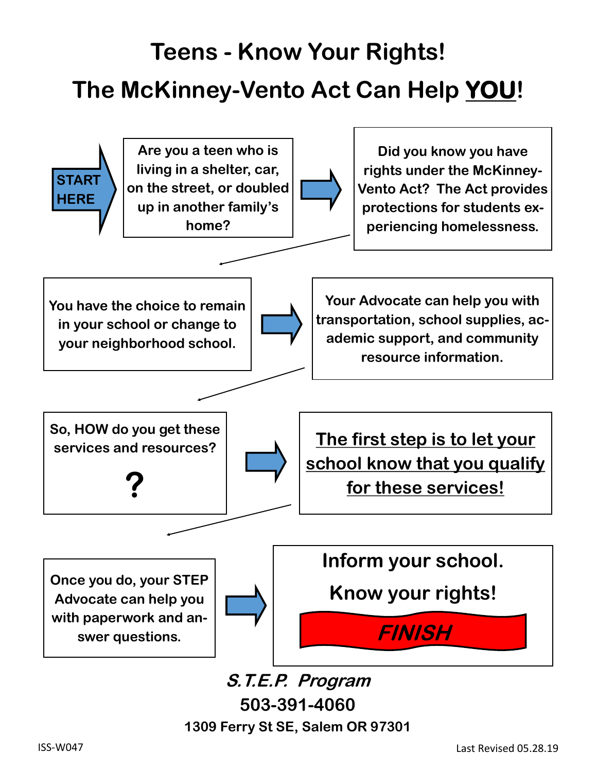## **Teens - Know Your Rights! The McKinney-Vento Act Can Help YOU!**



**S.T.E.P. Program 503-391-4060 1309 Ferry St SE, Salem OR 97301**